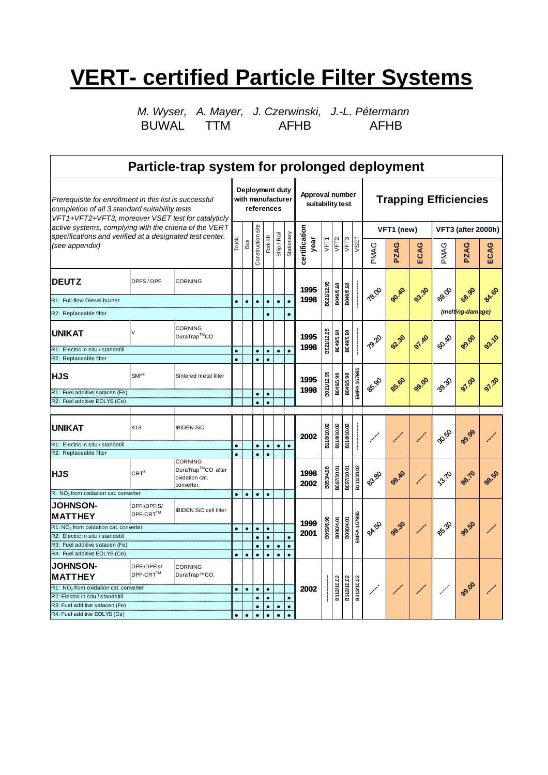## **VERT- certified Particle Filter Systems**

*M. Wyser, A. Mayer, J. Czerwinski, J.-L. Pétermann* BUWAL TTM AFHB AFHB

| Particle-trap system for prolonged deployment                                                                                                                  |                            |                                                                     |           |           |                                                               |            |                       |                  |                                     |            |                   |            |                    |                              |              |              |                       |                  |              |  |
|----------------------------------------------------------------------------------------------------------------------------------------------------------------|----------------------------|---------------------------------------------------------------------|-----------|-----------|---------------------------------------------------------------|------------|-----------------------|------------------|-------------------------------------|------------|-------------------|------------|--------------------|------------------------------|--------------|--------------|-----------------------|------------------|--------------|--|
| Prerequisite for enrollment in this list is successful<br>completion of all 3 standard suitability tests<br>VFT1+VFT2+VFT3, moreover VSET test for catalyticly |                            |                                                                     |           |           | Deployment duty<br>with manufacturer<br>references            |            |                       |                  | Approval number<br>suitability test |            |                   |            |                    | <b>Trapping Efficiencies</b> |              |              |                       |                  |              |  |
| active systems, complying with the criteria of the VERT                                                                                                        |                            |                                                                     |           |           |                                                               |            |                       |                  |                                     |            |                   |            |                    | VFT1 (new)                   |              |              | VFT3 (after 2000h)    |                  |              |  |
| specifications and verified at a designated test center.<br>(see appendix)                                                                                     |                            |                                                                     |           |           | Construction site<br>Ship / Rail<br>Fork lift<br>Truck<br>sng | Stationary | certification<br>year | VFT <sub>1</sub> | VFT <sub>2</sub>                    | VFT3       | VSET              | PMAG       | ပ<br>PZA           | ပ<br>ΞCĂ                     | PMAG         | ပ<br>PZA     | ECAG                  |                  |              |  |
| <b>DEUTZ</b>                                                                                                                                                   | DPFS/DPF<br><b>CORNING</b> |                                                                     |           |           |                                                               |            |                       |                  | 1995                                | B021/12.95 | B049/5.98         | B049/5.98  |                    |                              |              |              |                       |                  |              |  |
| R1: Full-flow Diesel burner                                                                                                                                    |                            |                                                                     | $\bullet$ | $\bullet$ | $\bullet$                                                     | $\bullet$  | $\bullet$             | $\bullet$        | 1998                                |            |                   |            |                    | 78.00                        | <b>90.40</b> | 03.30        | 89.00                 | 68.90            | <b>84.60</b> |  |
| R2: Replaceable filter                                                                                                                                         |                            |                                                                     |           |           |                                                               |            |                       | $\bullet$        |                                     |            |                   |            |                    |                              |              |              |                       | (melting-damage) |              |  |
| <b>UNIKAT</b>                                                                                                                                                  | V                          | <b>CORNING</b><br>DuraTrap™CO                                       |           |           |                                                               |            |                       |                  | 1995                                | B021/12.95 | B049/5.98         | B049/5.98  |                    | <b>T9.20</b>                 | <b>92.30</b> | <b>97.40</b> | B.R                   | <b>99.00</b>     | 93.10        |  |
| R1: Electric in situ / standstill                                                                                                                              |                            |                                                                     |           |           | $\bullet$                                                     | $\bullet$  | $\bullet$             | $\bullet$        | 1998                                |            |                   |            |                    |                              |              |              |                       |                  |              |  |
| R2: Replaceable filter                                                                                                                                         |                            |                                                                     |           |           | $\bullet$                                                     | $\bullet$  |                       |                  |                                     |            |                   |            |                    |                              |              |              |                       |                  |              |  |
| $SMF^{\otimes}$<br><b>HJS</b><br>Sintered metal filter                                                                                                         |                            |                                                                     |           |           |                                                               |            |                       |                  | 1995                                | B021/12.95 | B049/5.98         | B049/5.98  | <b>EMPA 167985</b> | 85.90                        | 85.60        | 99.90        | $e_{\rm eq}^{\rm eq}$ | 97.00            |              |  |
| R1: Fuel additive satacen (Fe)                                                                                                                                 |                            |                                                                     |           |           | $\bullet$                                                     | $\bullet$  |                       |                  | 1998                                |            |                   |            |                    |                              |              |              |                       |                  |              |  |
| R2: Fuel additive EOLYS (Ce)                                                                                                                                   |                            |                                                                     |           |           | $\bullet$                                                     |            |                       |                  |                                     |            |                   |            |                    |                              |              |              |                       |                  |              |  |
|                                                                                                                                                                |                            |                                                                     |           |           |                                                               |            |                       |                  |                                     |            |                   |            |                    |                              |              |              |                       |                  |              |  |
| <b>UNIKAT</b>                                                                                                                                                  | K18                        | <b>IBIDEN SiC</b>                                                   |           |           |                                                               |            |                       |                  | 2002                                | B118/10.02 | <b>B118/10.02</b> | B118/10.02 |                    |                              |              |              | $e_{\phi}^{\alpha}$   | 99.99            |              |  |
| R1: Electric in situ / standstill                                                                                                                              |                            |                                                                     | $\bullet$ |           | $\bullet$                                                     | $\bullet$  | $\bullet$             | $\bullet$        |                                     |            |                   |            |                    |                              |              |              |                       |                  |              |  |
| R2: Replaceable filter                                                                                                                                         |                            |                                                                     | $\bullet$ |           | $\bullet$                                                     | $\bullet$  |                       |                  |                                     |            |                   |            |                    |                              |              |              |                       |                  |              |  |
| <b>HJS</b>                                                                                                                                                     | $\mathsf{CRT}^\circledast$ | <b>CORNING</b><br>DuraTrap™CO after<br>oxidation cat.<br>converter. |           |           |                                                               |            |                       |                  | 1998<br>2002                        | B053/4.98  | B097/10.01        | 10.01/260E | B111/10.02         | 83.80                        | <b>99.40</b> |              | 13.70                 | 98.70            | 98.50        |  |
| R: NO <sub>2</sub> from oxidation cat. converter                                                                                                               |                            |                                                                     | $\bullet$ | $\bullet$ | $\bullet$                                                     | $\bullet$  |                       |                  |                                     |            |                   |            |                    |                              |              |              |                       |                  |              |  |
| <b>JOHNSON-</b><br><b>MATTHEY</b>                                                                                                                              | DPFi/DPFiS/<br>DPF-CRT™    | <b>IBIDEN SiC cell filter</b>                                       |           |           |                                                               |            |                       |                  | 1999                                |            |                   |            | <b>EMPA 167985</b> |                              |              |              |                       |                  |              |  |
| R1: NO <sub>2</sub> from oxidation cat. converter                                                                                                              |                            |                                                                     |           | $\bullet$ | $\bullet$                                                     | $\bullet$  |                       |                  | 2001                                | B059/6.99  | B090/4.01         | B090/4.01  |                    | <b>BA</b> .50                | 99.30        |              | $e_{\rm s}^{\rm e}$   | 99.50            |              |  |
| R2: Electric in situ / standstill                                                                                                                              |                            |                                                                     |           |           | $\bullet$                                                     | $\bullet$  |                       | $\bullet$        |                                     |            |                   |            |                    |                              |              |              |                       |                  |              |  |
| R3: Fuel additive satacen (Fe)<br>R4: Fuel additive EOLYS (Ce)                                                                                                 |                            |                                                                     |           |           | $\bullet$                                                     | $\bullet$  | $\bullet$             | $\bullet$        |                                     |            |                   |            |                    |                              |              |              |                       |                  |              |  |
|                                                                                                                                                                |                            |                                                                     | $\bullet$ | $\bullet$ | $\bullet$                                                     | $\bullet$  | $\bullet$             | $\bullet$        |                                     |            |                   |            |                    |                              |              |              |                       |                  |              |  |
| <b>JOHNSON-</b><br><b>MATTHEY</b>                                                                                                                              | DPFi/DPFis/<br>DPF-CRT™    | <b>CORNING</b><br>DuraTrap™CO.                                      |           |           |                                                               |            |                       |                  |                                     |            |                   |            |                    |                              |              |              |                       |                  |              |  |
| R1: NO <sub>2</sub> from oxidation cat. converter                                                                                                              |                            |                                                                     |           | $\bullet$ | $\bullet$                                                     | $\bullet$  |                       |                  | 2002                                |            | B112/10.02        | B112/10.02 | B113/10.02         | $\mathscr{S}$                |              |              |                       | 99.90            |              |  |
| R2: Electric in situ / standstill                                                                                                                              |                            |                                                                     |           |           | $\bullet$                                                     | $\bullet$  |                       | $\bullet$        |                                     |            |                   |            |                    |                              |              |              |                       |                  |              |  |
| R3: Fuel additive satacen (Fe)                                                                                                                                 |                            |                                                                     | $\bullet$ | $\bullet$ | $\bullet$                                                     | $\bullet$  | $\bullet$             | $\bullet$        |                                     |            |                   |            |                    |                              |              |              |                       |                  |              |  |
| R4: Fuel additive EOLYS (Ce)                                                                                                                                   |                            |                                                                     |           |           | $\bullet$                                                     | $\bullet$  | $\bullet$             | $\bullet$        |                                     |            |                   |            |                    |                              |              |              |                       |                  |              |  |